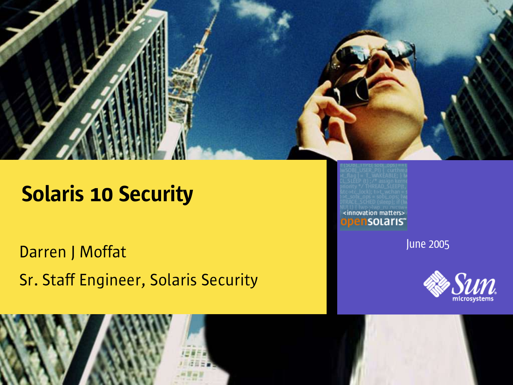

Darren J Moffat Sr. Staff Engineer, Solaris Security <innovation matters> ensolaris<sup>.</sup>

June 2005



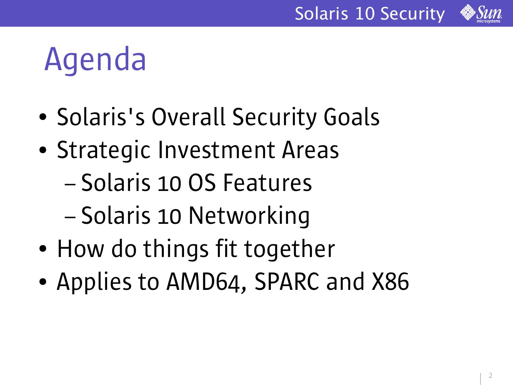



### Agenda

- Solaris's Overall Security Goals
- Strategic Investment Areas
	- Solaris 10 OS Features
	- Solaris 10 Networking
- How do things fit together
- Applies to AMD64, SPARC and X86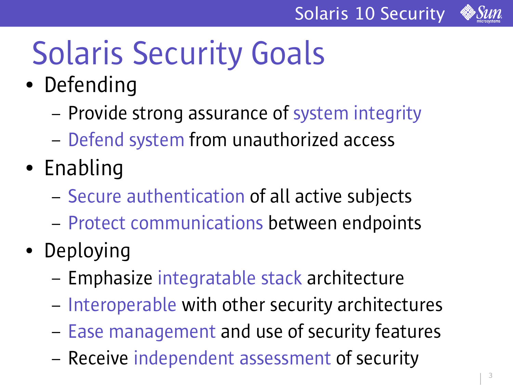

# Solaris Security Goals

- Defending
	- Provide strong assurance of system integrity
	- Defend system from unauthorized access
- Enabling
	- Secure authentication of all active subjects
	- Protect communications between endpoints
- Deploying
	- Emphasize integratable stack architecture
	- Interoperable with other security architectures
	- Ease management and use of security features
	- Receive independent assessment of security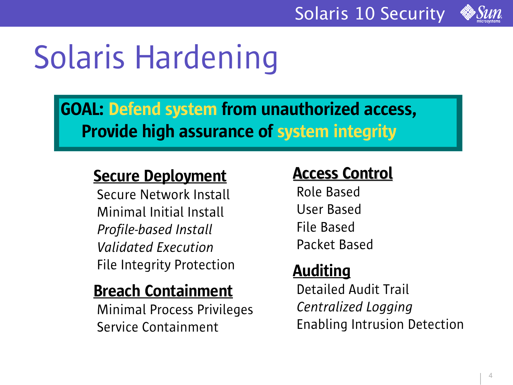

### Solaris Hardening

#### GOAL: Defend system from unauthorized access, Provide high assurance of system integrity

#### **Secure Deployment**

Secure Network Install Minimal Initial Install *Profile-based Install Validated Execution* File Integrity Protection

#### Breach Containment

Minimal Process Privileges Service Containment

#### Access Control

Role Based User Based File Based Packet Based

#### Auditing

Detailed Audit Trail *Centralized Logging* Enabling Intrusion Detection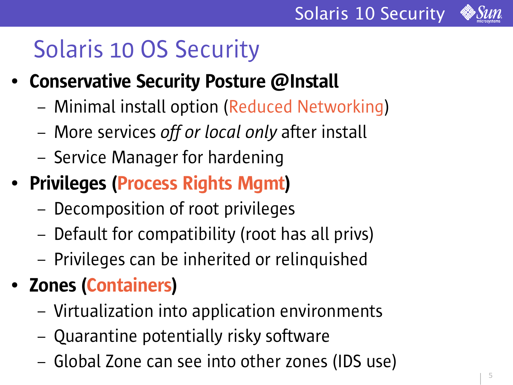

- Conservative Security Posture @Install
	- Minimal install option (Reduced Networking)
	- More services *off or local only* after install
	- Service Manager for hardening
- Privileges (Process Rights Mgmt)
	- Decomposition of root privileges
	- Default for compatibility (root has all privs)
	- Privileges can be inherited or relinquished
- Zones (Containers)
	- Virtualization into application environments
	- Quarantine potentially risky software
	- Global Zone can see into other zones (IDS use)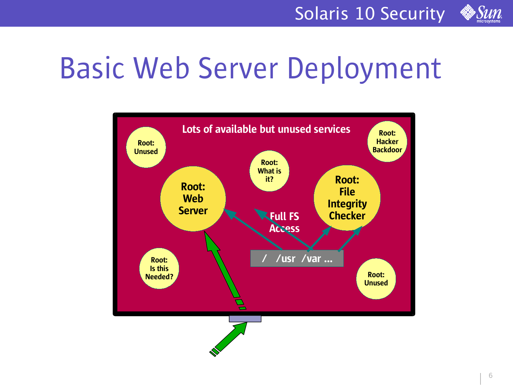

### Basic Web Server Deployment

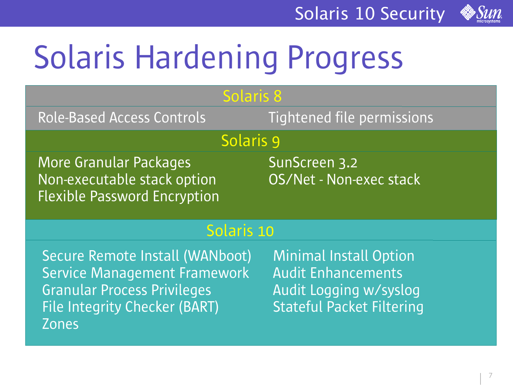

# Solaris Hardening Progress

| <b>Solaris 8</b>                                                                                                                                                     |                                                                                                                          |  |  |
|----------------------------------------------------------------------------------------------------------------------------------------------------------------------|--------------------------------------------------------------------------------------------------------------------------|--|--|
| <b>Role-Based Access Controls</b>                                                                                                                                    | Tightened file permissions                                                                                               |  |  |
| Solaris 9                                                                                                                                                            |                                                                                                                          |  |  |
| <b>More Granular Packages</b><br>Non-executable stack option<br><b>Flexible Password Encryption</b>                                                                  | SunScreen 3.2<br>OS/Net - Non-exec stack                                                                                 |  |  |
| Solaris 10                                                                                                                                                           |                                                                                                                          |  |  |
| Secure Remote Install (WANboot)<br><b>Service Management Framework</b><br><b>Granular Process Privileges</b><br><b>File Integrity Checker (BART)</b><br><b>Zones</b> | <b>Minimal Install Option</b><br><b>Audit Enhancements</b><br>Audit Logging w/syslog<br><b>Stateful Packet Filtering</b> |  |  |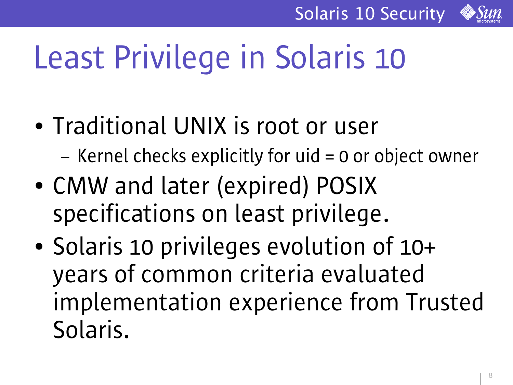

# Least Privilege in Solaris 10

- Traditional UNIX is root or user
	- Kernel checks explicitly for uid = 0 or object owner
- CMW and later (expired) POSIX specifications on least privilege.
- Solaris 10 privileges evolution of 10+ years of common criteria evaluated implementation experience from Trusted Solaris.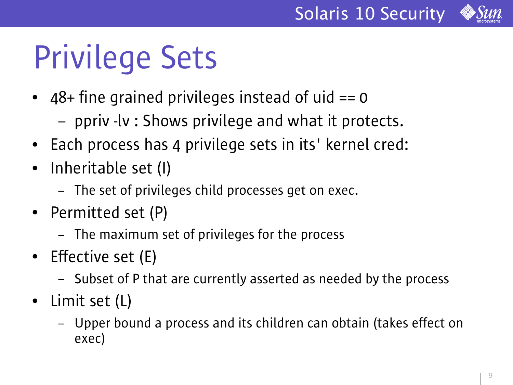

### Privilege Sets

- $48+$  fine grained privileges instead of uid  $== 0$ 
	- ppriv -lv : Shows privilege and what it protects.
- Each process has 4 privilege sets in its' kernel cred:
- Inheritable set (I)
	- The set of privileges child processes get on exec.
- Permitted set (P)
	- The maximum set of privileges for the process
- Effective set (E)
	- Subset of P that are currently asserted as needed by the process
- Limit set (L)
	- Upper bound a process and its children can obtain (takes effect on exec)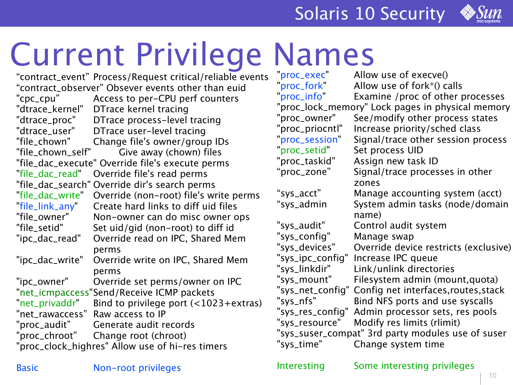

# Current Privilege Names

"contract\_event" Process/Request critical/reliable events "contract\_observer" Obsever events other than euid "cpc\_cpu" Access to per-CPU perf counters "dtrace\_kernel" DTrace kernel tracing "dtrace\_proc" DTrace process-level tracing "dtrace\_user" DTrace user-level tracing "file\_chown" Change file's owner/group IDs "file\_chown\_self" Give away (chown) files "file\_dac\_execute" Override file's execute perms "file\_dac\_read" Override file's read perms "file\_dac\_search" Override dir's search perms "file\_dac\_write" Override (non-root) file's write perms "file\_link\_any" Create hard links to diff uid files "file\_owner" Non-owner can do misc owner ops "file\_setid" Set uid/gid (non-root) to diff id "ipc\_dac\_read" Override read on IPC, Shared Mem perms "ipc\_dac\_write" Override write on IPC, Shared Mem perms "ipc\_owner" Override set perms/owner on IPC "net\_icmpaccess"Send/Receive ICMP packets "net\_privaddr" Bind to privilege port  $($  < 1023+extras) "net\_rawaccess" Raw access to IP "proc\_audit" Generate audit records "proc\_chroot" Change root (chroot) "proc\_clock\_highres" Allow use of hi-res timers

Allow use of  $execve()$ "proc\_fork" Allow use of fork\*() calls "proc\_info" Examine /proc of other processes "proc\_lock\_memory" Lock pages in physical memory "proc\_owner" See/modify other process states "proc\_priocntl" Increase priority/sched class "proc\_session" Signal/trace other session process "proc\_setid" Set process UID "proc\_taskid" Assign new task ID "proc\_zone" Signal/trace processes in other zones "sys\_acct" Manage accounting system (acct) "sys\_admin System admin tasks (node/domain name) "sys\_audit" Control audit system "sys\_config" Manage swap "sys\_devices" Override device restricts (exclusive) "sys\_ipc\_config" Increase IPC queue "sys\_linkdir" Link/unlink directories "sys\_mount" Filesystem admin (mount,quota) "sys\_net\_config" Config net interfaces,routes,stack "sys\_nfs" Bind NFS ports and use syscalls "sys\_res\_config" Admin processor sets, res pools "sys\_resource" Modify res limits (rlimit) "sys\_suser\_compat" 3rd party modules use of suser "sys\_time" Change system time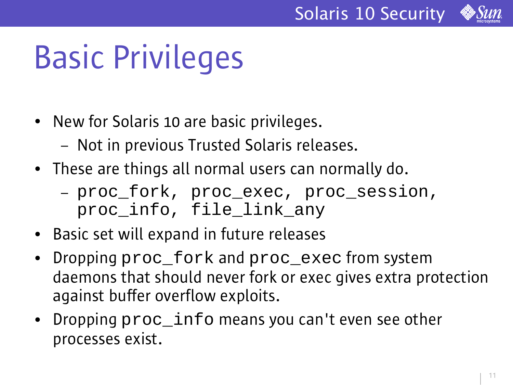

### Basic Privileges

- New for Solaris 10 are basic privileges.
	- Not in previous Trusted Solaris releases.
- These are things all normal users can normally do.
	- proc\_fork, proc\_exec, proc\_session, proc\_info, file\_link\_any
- Basic set will expand in future releases
- Dropping  $proc_fork$  and  $proc\_exec$  from system daemons that should never fork or exec gives extra protection against buffer overflow exploits.
- Dropping  $proc_inf$ o means you can't even see other processes exist.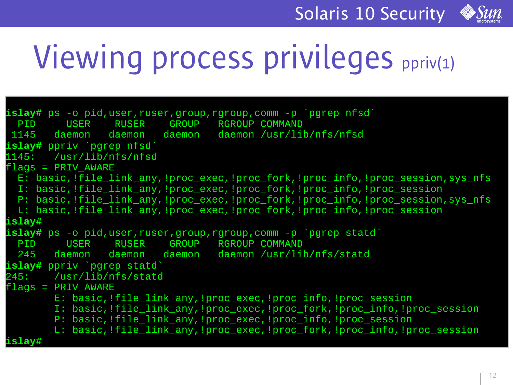

### Viewing process privileges ppriv(1)

```
islay# ps -o pid,user,ruser,group,rgroup,comm -p `pgrep nfsd`
 PID USER RUSER GROUP RGROUP COMMAND
 1145 daemon daemon daemon daemon /usr/lib/nfs/nfsd
islay# ppriv `pgrep nfsd`
1145: /usr/lib/nfs/nfsd
flags = PRIV_AWARE
 E: basic, !file link any, !proc exec, !proc_fork, !proc_info, !proc_session, sys_nfs
 I: basic,!file_link_any,!proc_exec,!proc_fork,!proc_info,!proc_session
 P: basic,!file_link_any,!proc_exec,!proc_fork,!proc_info,!proc_session,sys_nfs
 L: basic,!file_link_any,!proc_exec,!proc_fork,!proc_info,!proc_session
islay#
islay# ps -o pid,user,ruser,group,rgroup,comm -p `pgrep statd`
 PID USER RUSER GROUP RGROUP COMMAND
 245 daemon daemon daemon daemon /usr/lib/nfs/statd
islay# ppriv `pgrep statd`
245: /usr/lib/nfs/statd
flags = PRIV_AWARE
       E: basic,!file_link_any,!proc_exec,!proc_info,!proc_session
       I: basic,!file_link_any,!proc_exec,!proc_fork,!proc_info,!proc_session
       P: basic, !file link any, !proc_exec, !proc_info, !proc_session
       L: basic, !file link any, !proc_exec, !proc_fork, !proc_info, !proc_session
 islay#
```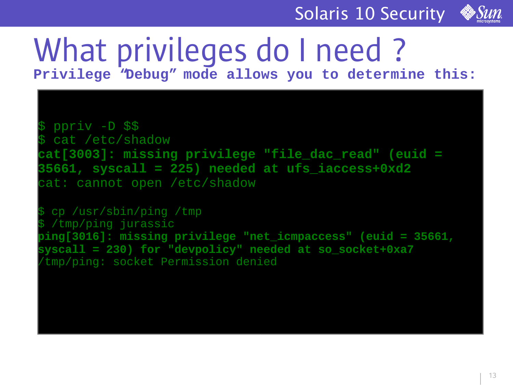

# What privileges do I need?

**Privilege "Debug" mode allows you to determine this:**

\$ ppriv -D \$\$ cat /etc/shadow **cat[3003]: missing privilege "file\_dac\_read" (euid = 35661, syscall = 225) needed at ufs\_iaccess+0xd2** cat: cannot open /etc/shadow

cp /usr/sbin/ping /tmp /tmp/ping jurassic **ping[3016]: missing privilege "net\_icmpaccess" (euid = 35661, syscall = 230) for "devpolicy" needed at so\_socket+0xa7** /tmp/ping: socket Permission denied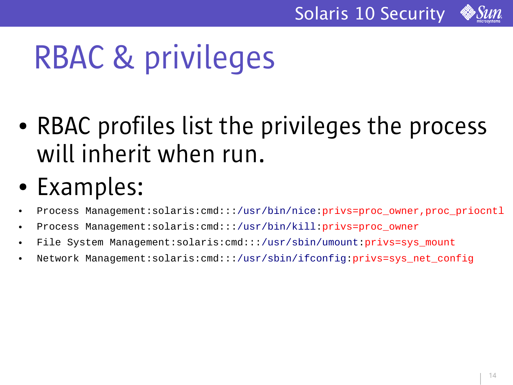

### RBAC & privileges

- RBAC profiles list the privileges the process will inherit when run.
- Examples:
- Process Management:solaris:cmd:::/usr/bin/nice:privs=proc\_owner,proc\_priocntl
- Process Management:solaris:cmd:::/usr/bin/kill:privs=proc\_owner
- File System Management:solaris:cmd:::/usr/sbin/umount:privs=sys\_mount
- Network Management:solaris:cmd:::/usr/sbin/ifconfig:privs=sys\_net\_config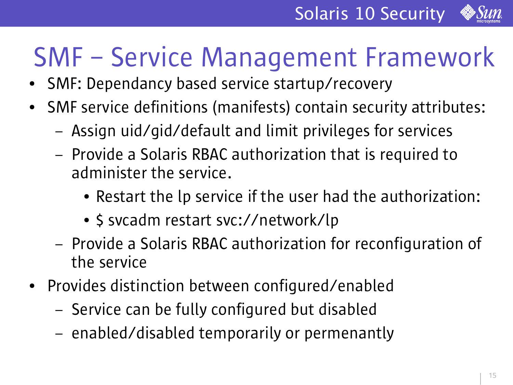

### SMF – Service Management Framework

- SMF: Dependancy based service startup/recovery
- SMF service definitions (manifests) contain security attributes:
	- Assign uid/gid/default and limit privileges for services
	- Provide a Solaris RBAC authorization that is required to administer the service.
		- Restart the Ip service if the user had the authorization:
		- \$ svcadm restart svc://network/lp
	- Provide a Solaris RBAC authorization for reconfiguration of the service
- Provides distinction between configured/enabled
	- Service can be fully configured but disabled
	- enabled/disabled temporarily or permenantly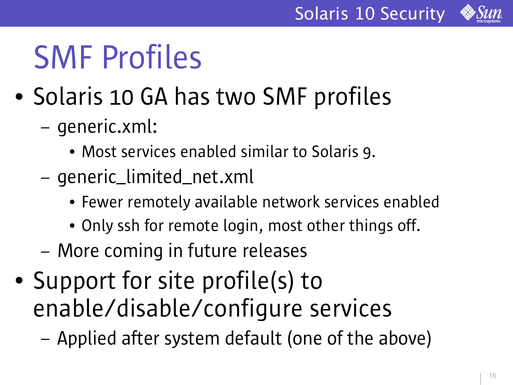



### SMF Profiles

- Solaris 10 GA has two SMF profiles
	- generic.xml:
		- Most services enabled similar to Solaris 9.
	- generic\_limited\_net.xml
		- Fewer remotely available network services enabled
		- Only ssh for remote login, most other things off.
	- More coming in future releases
- Support for site profile(s) to enable/disable/configure services
	- Applied after system default (one of the above)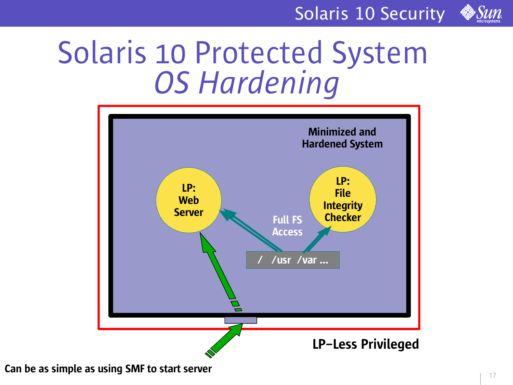

### Solaris 10 Protected System *OS Hardening*



Can be as simple as using SMF to start server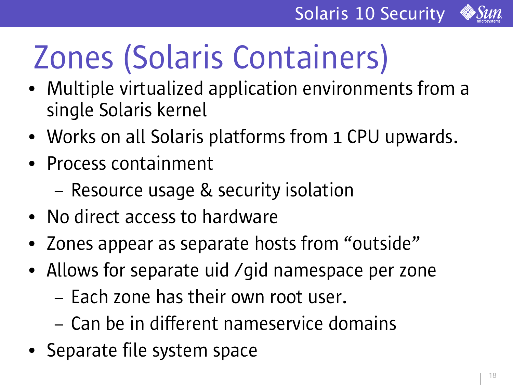

# Zones (Solaris Containers)

- Multiple virtualized application environments from a single Solaris kernel
- Works on all Solaris platforms from 1 CPU upwards.
- Process containment
	- Resource usage & security isolation
- No direct access to hardware
- Zones appear as separate hosts from "outside"
- Allows for separate uid /gid namespace per zone
	- Each zone has their own root user.
	- Can be in different nameservice domains
- Separate file system space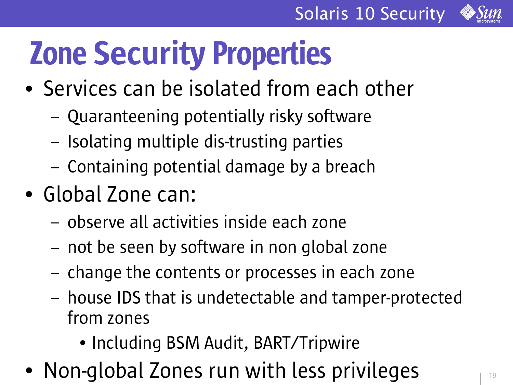

# Zone Security Properties

- Services can be isolated from each other
	- Quaranteening potentially risky software
	- Isolating multiple dis-trusting parties
	- Containing potential damage by a breach
- Global Zone can:
	- observe all activities inside each zone
	- not be seen by software in non global zone
	- change the contents or processes in each zone
	- house IDS that is undetectable and tamper-protected from zones
		- Including BSM Audit, BART/Tripwire
- Non-global Zones run with less privileges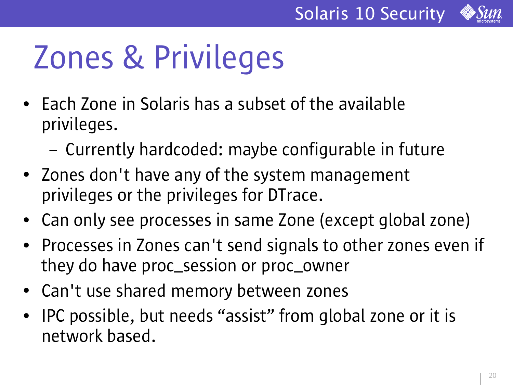

# Zones & Privileges

- Each Zone in Solaris has a subset of the available privileges.
	- Currently hardcoded: maybe configurable in future
- Zones don't have any of the system management privileges or the privileges for DTrace.
- Can only see processes in same Zone (except global zone)
- Processes in Zones can't send signals to other zones even if they do have proc\_session or proc\_owner
- Can't use shared memory between zones
- IPC possible, but needs "assist" from global zone or it is network based.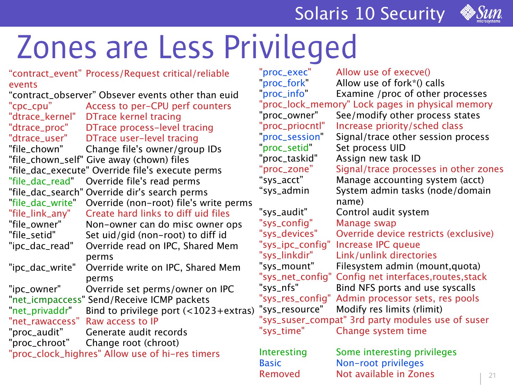

### Zones are Less Privileged

| "contract_event" Process/Request critical/reliable<br>events | "proc_exec"<br>"proc_fork" | Allow use of execve()<br>Allow use of fork*() calls |
|--------------------------------------------------------------|----------------------------|-----------------------------------------------------|
| "contract_observer" Obsever events other than euid           | proc_info                  | Examine /proc of other processes                    |
| "cpc_cpu"<br>Access to per-CPU perf counters                 |                            | "proc_lock_memory" Lock pages in physical memory    |
| "dtrace_kernel"<br><b>DTrace kernel tracing</b>              | "proc_owner"               | See/modify other process states                     |
| DTrace process-level tracing<br>"dtrace_proc"                | "proc_priocntl"            | Increase priority/sched class                       |
| "dtrace_user"<br>DTrace user-level tracing                   | "proc_session"             | Signal/trace other session process                  |
| "file_chown"<br>Change file's owner/group IDs                | "proc_setid"               | Set process UID                                     |
| "file_chown_self" Give away (chown) files                    | "proc_taskid"              | Assign new task ID                                  |
| "file_dac_execute" Override file's execute perms             | "proc_zone"                | Signal/trace processes in other zones               |
| "file_dac_read"  Override file's read perms                  | "sys_acct"                 | Manage accounting system (acct)                     |
| "file_dac_search" Override dir's search perms                | "sys_admin                 | System admin tasks (node/domain                     |
| Override (non-root) file's write perms<br>"file_dac_write"   |                            | name)                                               |
| "file_link_any"<br>Create hard links to diff uid files       | "sys_audit"                | Control audit system                                |
| "file_owner"<br>Non-owner can do misc owner ops              | "sys_config"               | Manage swap                                         |
| "file_setid"<br>Set uid/gid (non-root) to diff id            | "sys_devices"              | Override device restricts (exclusive)               |
| Override read on IPC, Shared Mem<br>"ipc_dac_read"           | "sys_ipc_config"           | <b>Increase IPC queue</b>                           |
| perms                                                        | "sys_linkdir"              | Link/unlink directories                             |
| "ipc_dac_write"<br>Override write on IPC, Shared Mem         | "sys_mount"                | Filesystem admin (mount, quota)                     |
| perms                                                        | "sys_net_config"           | Config net interfaces, routes, stack                |
| "ipc_owner"<br>Override set perms/owner on IPC               | "sys_nfs"                  | Bind NFS ports and use syscalls                     |
| "net_icmpaccess" Send/Receive ICMP packets                   | "sys_res_config"           | Admin processor sets, res pools                     |
| "net_privaddr"<br>Bind to privilege port $($ < 1023+extras)  | "sys_resource"             | Modify res limits (rlimit)                          |
| Raw access to IP<br>"net_rawaccess"                          |                            | "sys_suser_compat" 3rd party modules use of suser   |
| "proc_audit"<br>Generate audit records                       | "sys_time"                 | Change system time                                  |
| "proc_chroot"<br>Change root (chroot)                        |                            |                                                     |
| "proc_clock_highres" Allow use of hi-res timers              | Interesting                | Some interesting privileges                         |
|                                                              | <b>Basic</b>               | Non-root privileges                                 |
|                                                              | Removed                    | Not available in Zones<br>21                        |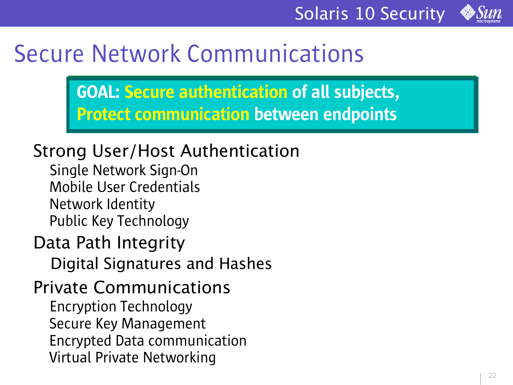

### Secure Network Communications

GOAL: Secure authentication of all subjects, Protect communication between endpoints

#### Strong User/Host Authentication

Single Network Sign-On Mobile User Credentials Network Identity Public Key Technology

#### Data Path Integrity

Digital Signatures and Hashes

#### Private Communications Encryption Technology Secure Key Management Encrypted Data communication Virtual Private Networking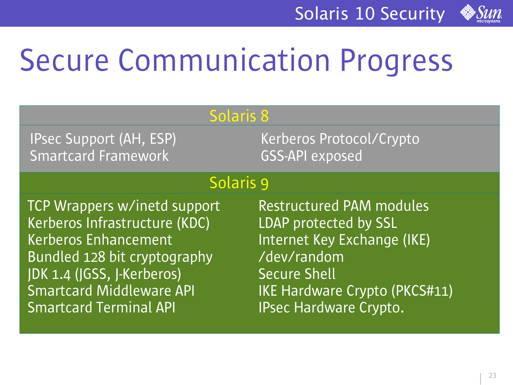

### Secure Communication Progress

| <b>Solaris 8</b>                |                                    |  |
|---------------------------------|------------------------------------|--|
| <b>IPsec Support (AH, ESP)</b>  | Kerberos Protocol/Crypto           |  |
| Smartcard Framework             | <b>GSS-API</b> exposed             |  |
| Solaris 9                       |                                    |  |
| TCP Wrappers w/inetd support    | <b>Restructured PAM modules</b>    |  |
| Kerberos Infrastructure (KDC)   | LDAP protected by SSL              |  |
| <b>Kerberos Enhancement</b>     | <b>Internet Key Exchange (IKE)</b> |  |
| Bundled 128 bit cryptography    | /dev/random                        |  |
| JDK 1.4 (JGSS, J-Kerberos)      | <b>Secure Shell</b>                |  |
| <b>Smartcard Middleware API</b> | IKE Hardware Crypto (PKCS#11)      |  |
| <b>Smartcard Terminal API</b>   | IPsec Hardware Crypto.             |  |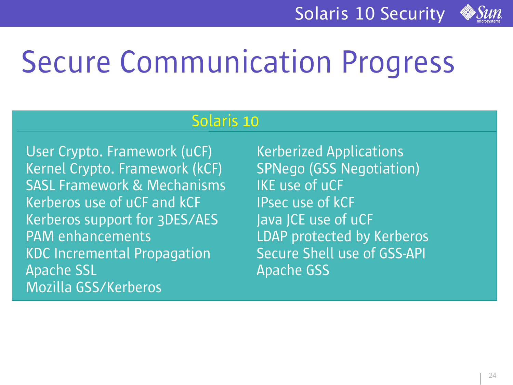

### Secure Communication Progress

#### Solaris 10

User Crypto. Framework (uCF) Kerberized Applications Kernel Crypto. Framework (kCF) SPNego (GSS Negotiation) SASL Framework & Mechanisms IKE use of uCF Kerberos use of uCF and kCF **IPsec use of kCF** Kerberos support for 3DES/AES and lava JCE use of uCF PAM enhancements **LDAP** protected by Kerberos KDC Incremental Propagation Secure Shell use of GSS-API Apache SSL **Apache GSS** Mozilla GSS/Kerberos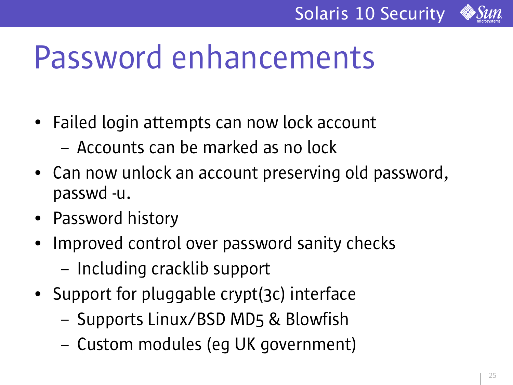

### Password enhancements

- Failed login attempts can now lock account
	- Accounts can be marked as no lock
- Can now unlock an account preserving old password, passwd -u.
- Password history
- Improved control over password sanity checks – Including cracklib support
- Support for pluggable crypt(3c) interface
	- Supports Linux/BSD MD5 & Blowfish
	- Custom modules (eg UK government)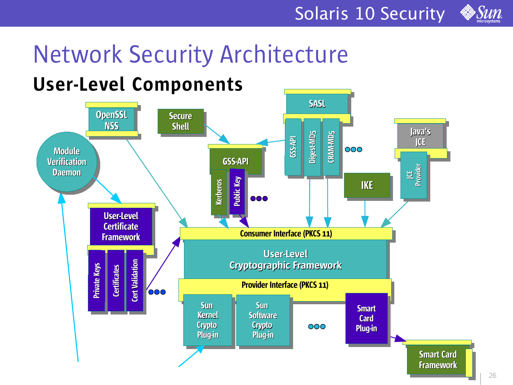

### Network Security Architecture

### User-Level Components

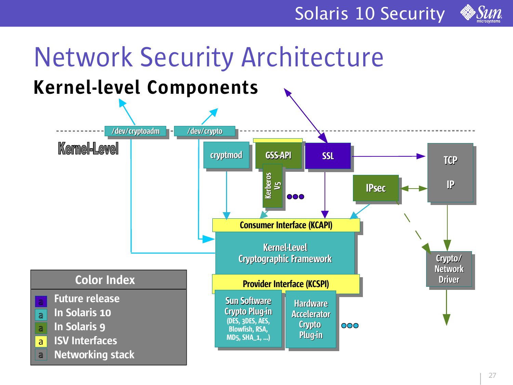

### Network Security Architecture

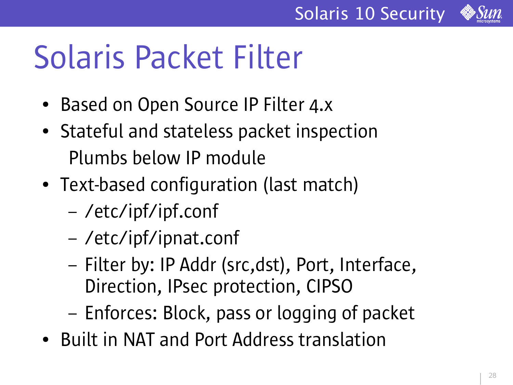

### Solaris Packet Filter

- Based on Open Source IP Filter 4.x
- Stateful and stateless packet inspection Plumbs below IP module
- Text-based configuration (last match)
	- /etc/ipf/ipf.conf
	- /etc/ipf/ipnat.conf
	- Filter by: IP Addr (src,dst), Port, Interface, Direction, IPsec protection, CIPSO
	- Enforces: Block, pass or logging of packet
- Built in NAT and Port Address translation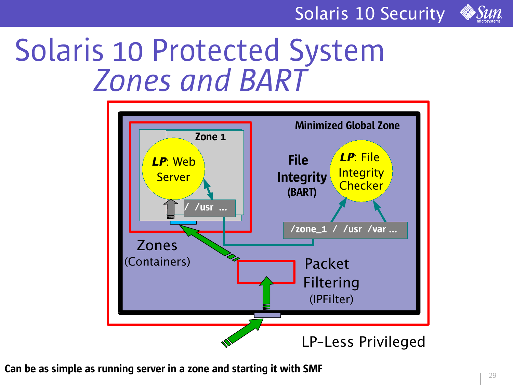

### Solaris 10 Protected System *Zones and BART*



Can be as simple as running server in a zone and starting it with SMF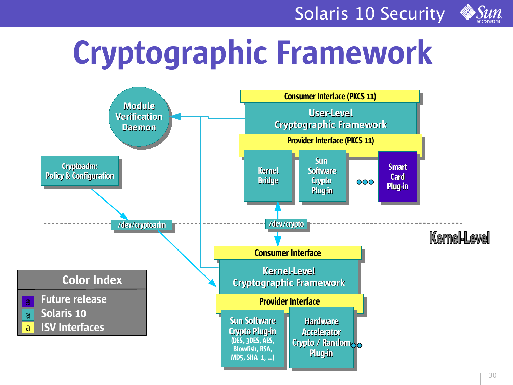

## Cryptographic Framework

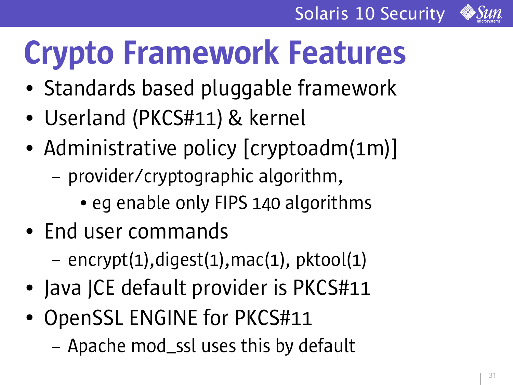

# Crypto Framework Features

- Standards based pluggable framework
- Userland (PKCS#11) & kernel
- Administrative policy [cryptoadm(1m)]
	- provider/cryptographic algorithm,
		- eg enable only FIPS 140 algorithms
- End user commands
	- encrypt(1),digest(1),mac(1), pktool(1)
- Java JCE default provider is PKCS#11
- OpenSSL ENGINE for PKCS#11
	- Apache mod\_ssl uses this by default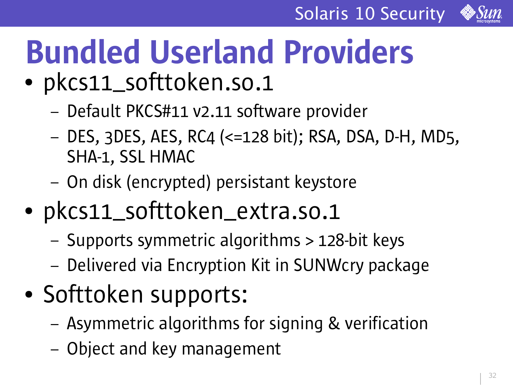

### Bundled Userland Providers • pkcs11\_softtoken.so.1

- Default PKCS#11 v2.11 software provider
- DES, 3DES, AES, RC4 (<=128 bit); RSA, DSA, D-H, MD5, SHA-1, SSL HMAC
- On disk (encrypted) persistant keystore
- pkcs11\_softtoken\_extra.so.1
	- Supports symmetric algorithms > 128-bit keys
	- Delivered via Encryption Kit in SUNWcry package
- Softtoken supports:
	- Asymmetric algorithms for signing & verification
	- Object and key management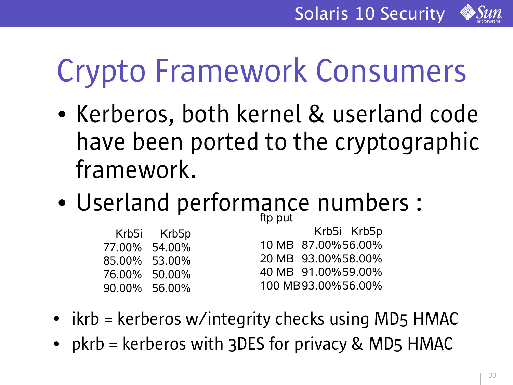![](_page_32_Picture_1.jpeg)

### Crypto Framework Consumers

- Kerberos, both kernel & userland code have been ported to the cryptographic framework.
- Userland performance numbers : ftp put

| Krb5i Krb5p   | Krb5i Krb5p         |
|---------------|---------------------|
| 77.00% 54.00% | 10 MB 87.00%56.00%  |
| 85.00% 53.00% | 20 MB 93.00% 58.00% |
| 76.00% 50.00% | 40 MB 91.00%59.00%  |
| 90.00% 56.00% | 100 MB93.00%56.00%  |
|               |                     |

- $\bullet$  ikrb = kerberos w/integrity checks using MD5 HMAC
- $pkrb = kerberos$  with 3DES for privacy & MD5 HMAC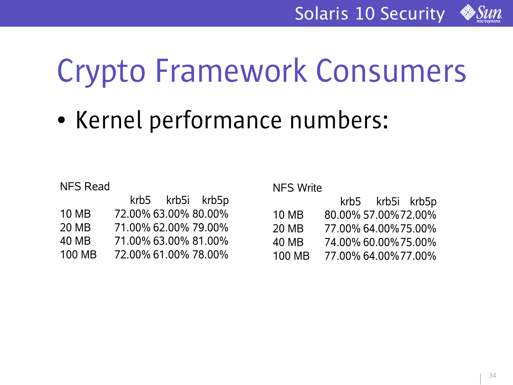![](_page_33_Picture_1.jpeg)

### Crypto Framework Consumers

• Kernel performance numbers:

NFS Read

|               | krb5 krb5i krb5p     |  |
|---------------|----------------------|--|
| <b>10 MB</b>  | 72.00% 63.00% 80.00% |  |
| 20 MB         | 71.00% 62.00% 79.00% |  |
| <b>40 MB</b>  | 71.00% 63.00% 81.00% |  |
| <b>100 MB</b> | 72.00% 61.00% 78.00% |  |

NFS Write

|              | krb5 |                      | krb5i krb5p |
|--------------|------|----------------------|-------------|
| <b>10 MB</b> |      | 80.00% 57.00% 72.00% |             |
| 20 MB        |      | 77.00% 64.00% 75.00% |             |
| 40 MB        |      | 74.00% 60.00% 75.00% |             |
| 100 MB       |      | 77.00% 64.00% 77.00% |             |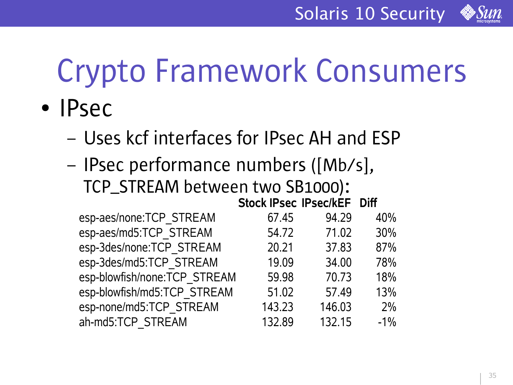![](_page_34_Picture_1.jpeg)

# Crypto Framework Consumers

- IPsec
	- Uses kcf interfaces for IPsec AH and ESP
	- IPsec performance numbers ([Mb/s], TCP\_STREAM between two SB1000):

|                              | Stock IPsec IPsec/kEF Diff |        |        |
|------------------------------|----------------------------|--------|--------|
| esp-aes/none:TCP_STREAM      | 67.45                      | 94.29  | 40%    |
| esp-aes/md5:TCP_STREAM       | 54.72                      | 71.02  | 30%    |
| esp-3des/none:TCP STREAM     | 20.21                      | 37.83  | 87%    |
| esp-3des/md5:TCP STREAM      | 19.09                      | 34.00  | 78%    |
| esp-blowfish/none:TCP_STREAM | 59.98                      | 70.73  | 18%    |
| esp-blowfish/md5:TCP STREAM  | 51.02                      | 57.49  | 13%    |
| esp-none/md5:TCP STREAM      | 143.23                     | 146.03 | 2%     |
| ah-md5:TCP STREAM            | 132.89                     | 132.15 | $-1\%$ |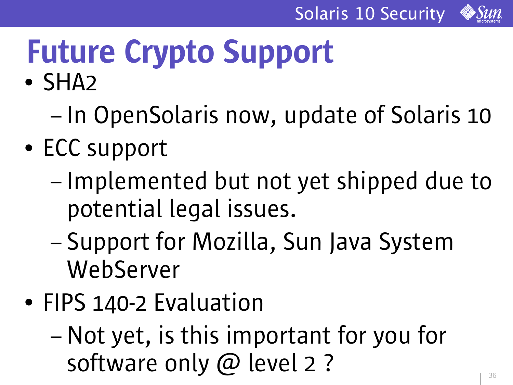![](_page_35_Picture_1.jpeg)

# Future Crypto Support

- SHA<sub>2</sub>
	- In OpenSolaris now, update of Solaris 10
- ECC support
	- Implemented but not yet shipped due to potential legal issues.
	- Support for Mozilla, Sun Java System WebServer
- FIPS 140-2 Evaluation
	- Not yet, is this important for you for software only @ level 2 ?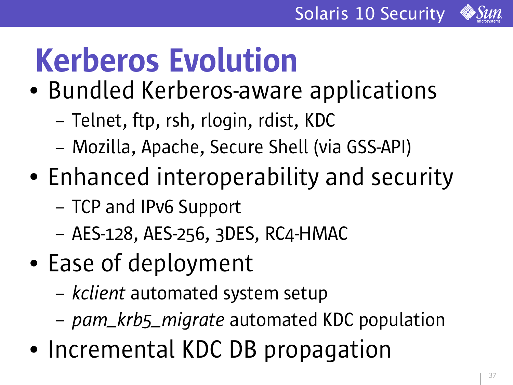![](_page_36_Picture_1.jpeg)

# Kerberos Evolution

- Bundled Kerberos-aware applications
	- Telnet, ftp, rsh, rlogin, rdist, KDC
	- Mozilla, Apache, Secure Shell (via GSS-API)
- Enhanced interoperability and security
	- TCP and IPv6 Support
	- AES-128, AES-256, 3DES, RC4-HMAC
- Ease of deployment
	- *kclient* automated system setup
	- *pam\_krb5\_migrate* automated KDC population
- Incremental KDC DB propagation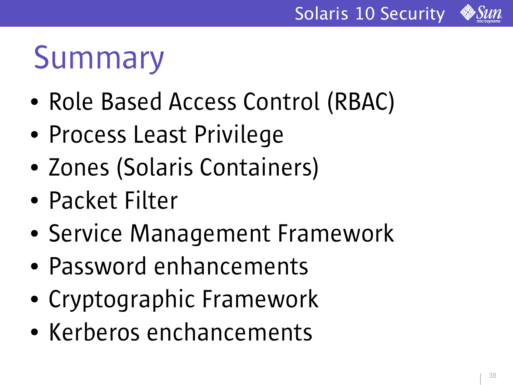![](_page_37_Picture_1.jpeg)

### Summary

- Role Based Access Control (RBAC)
- Process Least Privilege
- Zones (Solaris Containers)
- Packet Filter
- Service Management Framework
- Password enhancements
- Cryptographic Framework
- Kerberos enchancements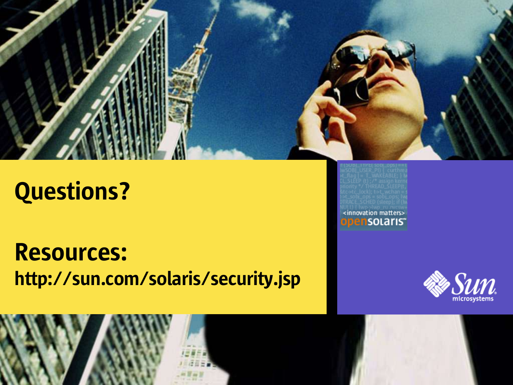![](_page_38_Picture_0.jpeg)

### Questions?

Resources: http://sun.com/solaris/security.jsp <innovation matters> ensolaris<sup>®</sup>

![](_page_38_Picture_4.jpeg)

![](_page_38_Picture_5.jpeg)